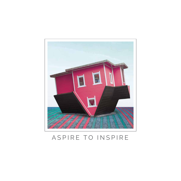

#### ASPIRE TO INSPIRE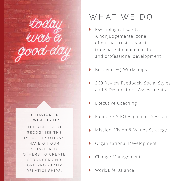**BEHAVIOR EQ - WHAT IS IT?** THE ARILITY TO RECOGNIZE THE IMPACT EMOTIONS HAVE ON OUR BEHAVIOR TO OTHERS TO CREATE STRONGER AND MORE PRODUCTIVE R F LATION SHIPS

rtoday<br>was e

rod da

## WHAT WE DO

- Psychological Safety: A nonjudgemental zone of mutual trust, respect, transparent communication and professional development
- ▶ Behavior EQ Workshops
- ▶ 360 Review Feedback, Social Styles and 5 Dysfunctions Assessments
- Executive Coaching
- ▶ Founders/CEO Alignment Sessions
- Mission, Vision & Values Strategy
- Organizational Development
- Change Management
- Work/Life Balance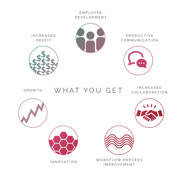

**IN C R E A S E D** PROFIT



P R O D U C T I V E COMMUNICATION





GROWTH

WHAT YOU GET COLLABORATI

COLLABORATION





INNOVATION



IMPROVEMENT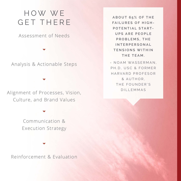## H O W W E GET THERE

Assessment of Needs

Analysis & Actionable Steps

Alignment of Processes, Vision, Culture, and Brand Values

> Communication & Execution Strategy

Reinforcement & Evaluation

**A B O U T 6 5 % O F T H E FAILURES OF HIGH-POTENTIAL START-U P S A R E P E O P L E P R O B L E M S , T H E I N T E R P E R S O N A L T E N S I O N S W I T H I N THE TEAM.**

- NOAM WASSERMAN. PH.D, USC & FORMER HARVARD PROFESOR & AUTHOR. THE FOUNDER'S DILLEMMAS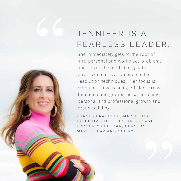# JENNIFER IS A FEARLESS LEADER.

SS

She immediately gets to the root of interpersonal and workplace problems and solves them efficiently with direct communication and conflict resolution techniques. Her focus is on quantitative results, efficient crossfunctional integration between teams, personal and professional growth and brand-building.

- JAMES BRADICICH, MARKETING EXECUTIVE IN TECH START-UP AND FORMERLY EDELMAN, BURSTON, M A R S T FL L A R A N D O G I LV Y.